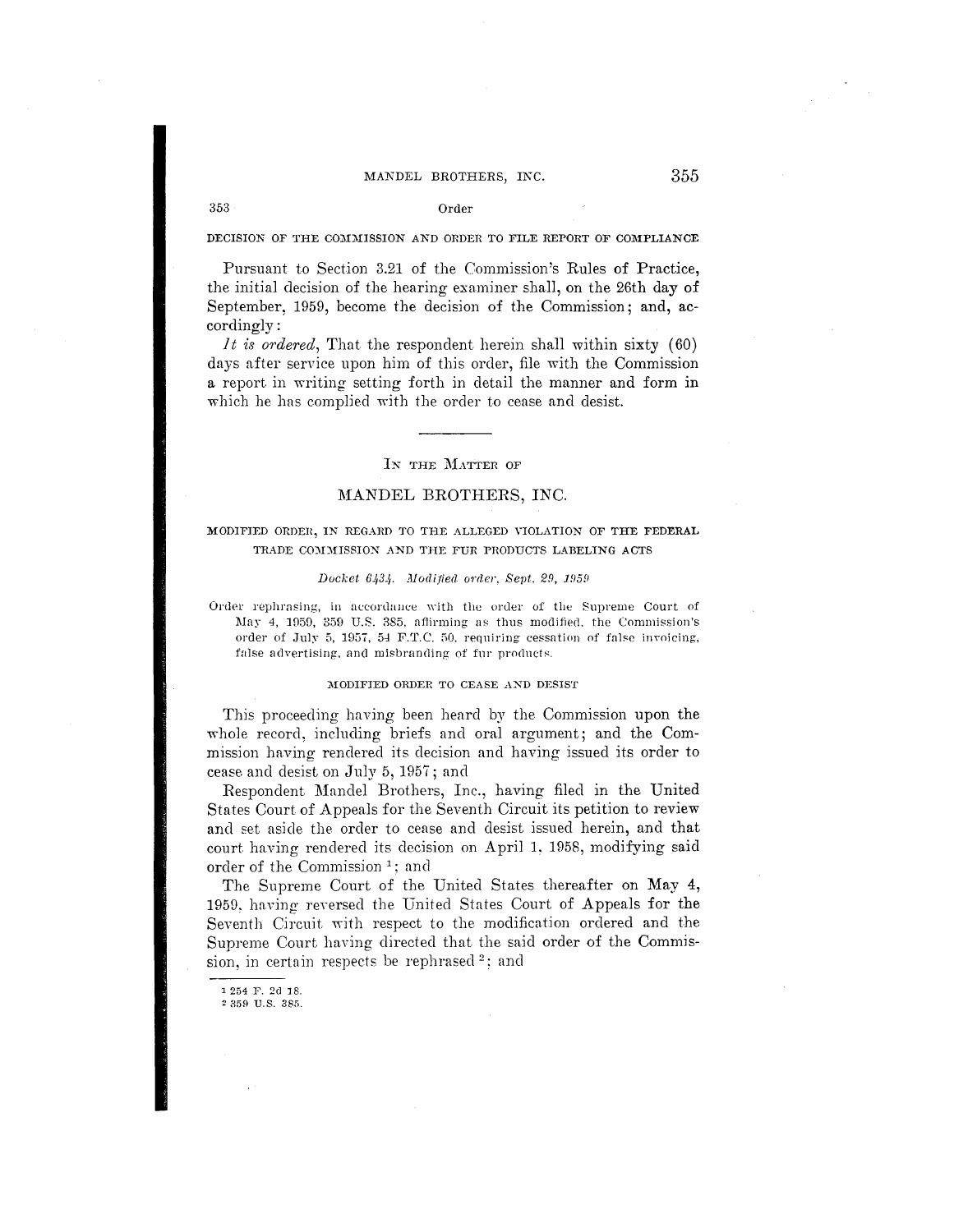# MANDEL BROTHERS, INC. 355

### $353$  Order

DECISION OF THE COMMISSION AND ORDER TO FILE REPORT OF COMPLIANCE

Pursuant to Section 3.21 of the Commission's Rules of Practice, the initial decision of the hearing examiner sha11, on the 26th day of September, 1959, become the decision of the Commission; and, accordingly:

*It i8 ordered,* That the respondent herein shall within sixty (60) days after service upon him of this order, file with the Commission a report in writing setting forth in detail the manner and form in which he has complied with the order to cease and desist.

### IN THE MATTER OF

### MANDEL BROTHERS, INC.

# MODIFIED ORDER, IN REGARD TO THE ALLEGED VIOLATION OF THE FEDERAL TRADE COMMISSION AND THE FUR PRODUCTS LABELING ACTS

### Docket 6434. Modified order, Sept. 29, 1959

Order rephrasing, in accordance with the order of the Supreme Court of May 4, 1959, 359 U.S. 385, affirming as thus modified, the Commission's order of July 5, 1957, 54 F.T.C. 50, requiring cessation of false invoicing, false advertising, and misbranding of fur products.

### MODIFIED ORDER TO CEASE AND DESIST

This proceeding having been heard by the Commission upon the whole record, including briefs and oral argument; and the Commission having rendered its decision and having issued its order to cease and desist on July 5, 1957; and

Respondent Mandel Brothers, Inc., having filed in the United States Court of Appeals for the Seventh Circuit its petition to review and set aside the order to cease and desist issued herein, and that court having rendered its decision on April 1, 1958, modifying said order of the Commission<sup>1</sup>; and

The Supreme Court of the United States thereafter on May 4, 1959, having reversed the United States Court of Appeals for the Seventh Circuit with respect to the modification ordered and the Supreme Court having directed that the said order of the Commission, in certain respects be rephrased  $2$ ; and

1 254 F. 2d 18. 2 359 U.S. 385.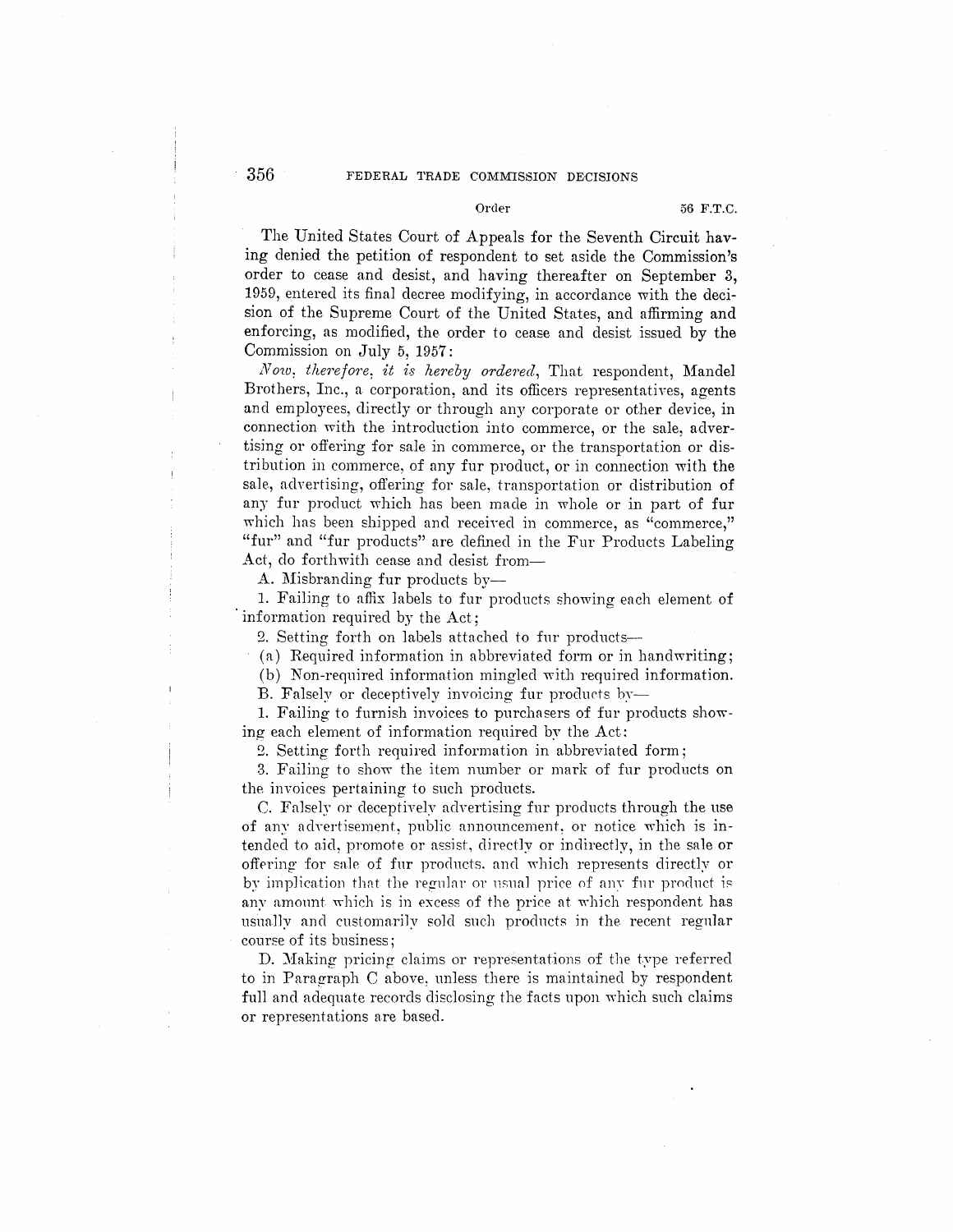# 356 FEDERAL TRADE COMMISSION DECISIONS

The United States Court of Appeals for the Seventh Circuit having denied the petition of respondent to set aside the Commission's order to cease and desist, and having thereafter on September 3, 1959, entered its final decree modifying, in accordance with the decision of the Supreme Court of the United States, and affirming and enforcing, as modified, the order to cease and desist issued by the Commission on July 5, 1957:

*Now: therefore: it is hereby ordered,* That respondent, Mandel Brothers, Inc., a corporation, and its officers representatives, agents and employees, directly or through any corporate or other device, in connection with the introduction into commerce, or the sale, advertising or offering for sale in commerce, or the transportation or distribution in commerce, of any fur product, or in connection with the sale, advertising, offering for sale, transportation or distribution of any fur product which has been made in whole or in part of fur which has been shipped and received in commerce, as "commerce," "fur" and "fur products" are defined in the Fur Products Labeling Act, do forthwith cease and desist from-

A. Misbranding fur products by-

1. Failing to affix labels to fur products showing each element of information required by the Act;

2. Setting forth on labels attached to fur products-

(a) Required information in abbreviated form or in handwriting;

(b) Non-required information mingled with required information.

B. Falsely or deceptively invoicing fur products by-

1. Failing to furnish invoices to purchasers of fur products showing each element of information required by the Act:

2. Setting forth required information in abbreviated form;

3. Failing to show the item number or mark of fur products on the invoices pertaining to such products.

C. Falsely or deceptively advertising fur products through the use of any advertisement, public announcement, or notice which is intended to aid, promote or assist, directly or indirectly, in the sale or offering for sale of fur products. and which represents directly or by implication that the regular or usual price of any fur product is any amount which is in excess of the price at which respondent has usually and customarily sold such products in the recent regular course of its business;

D. Making pricing claims or representations of the type referred to in Paragraph C above: unless there is maintained by respondent full and adequate records disclosing the facts upon which such claims or representations are based.